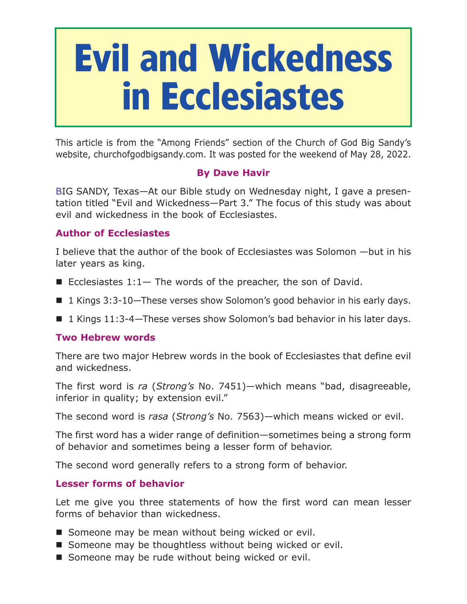# **Evil and Wickedness in Ecclesiastes**

This article is from the "Among Friends" section of the Church of God Big Sandy's website, churchofgodbigsandy.com. It was posted for the weekend of May 28, 2022.

## **By Dave Havir**

BIG SANDY, Texas—At our Bible study on Wednesday night, I gave a presentation titled "Evil and Wickedness—Part 3." The focus of this study was about evil and wickedness in the book of Ecclesiastes.

### **Author of Ecclesiastes**

I believe that the author of the book of Ecclesiastes was Solomon —but in his later years as king.

- Ecclesiastes  $1:1-$  The words of the preacher, the son of David.
- 1 Kings 3:3-10–These verses show Solomon's good behavior in his early days.
- 1 Kings 11:3-4—These verses show Solomon's bad behavior in his later days.

#### **Two Hebrew words**

There are two major Hebrew words in the book of Ecclesiastes that define evil and wickedness.

The first word is *ra* (*Strong's* No. 7451)—which means "bad, disagreeable, inferior in quality; by extension evil."

The second word is *rasa* (*Strong's* No. 7563)—which means wicked or evil.

The first word has a wider range of definition—sometimes being a strong form of behavior and sometimes being a lesser form of behavior.

The second word generally refers to a strong form of behavior.

#### **Lesser forms of behavior**

Let me give you three statements of how the first word can mean lesser forms of behavior than wickedness.

- Someone may be mean without being wicked or evil.
- Someone may be thoughtless without being wicked or evil.
- Someone may be rude without being wicked or evil.